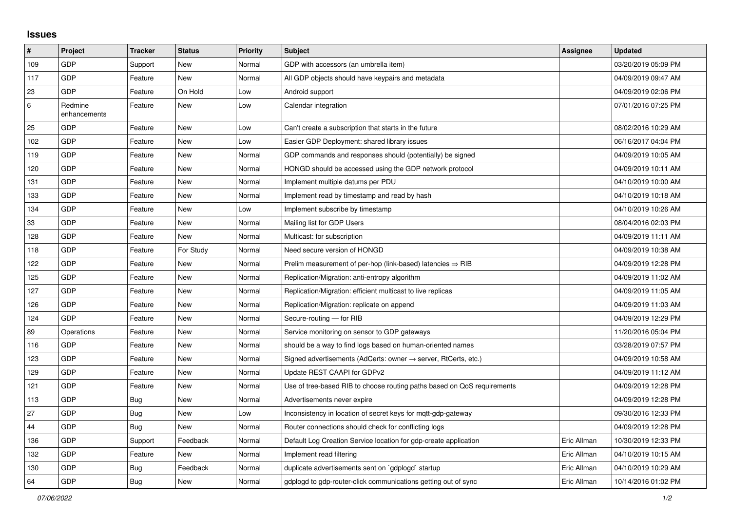## **Issues**

| #   | Project                 | <b>Tracker</b> | <b>Status</b> | Priority | <b>Subject</b>                                                             | <b>Assignee</b> | <b>Updated</b>      |
|-----|-------------------------|----------------|---------------|----------|----------------------------------------------------------------------------|-----------------|---------------------|
| 109 | GDP                     | Support        | <b>New</b>    | Normal   | GDP with accessors (an umbrella item)                                      |                 | 03/20/2019 05:09 PM |
| 117 | GDP                     | Feature        | <b>New</b>    | Normal   | All GDP objects should have keypairs and metadata                          |                 | 04/09/2019 09:47 AM |
| 23  | GDP                     | Feature        | On Hold       | Low      | Android support                                                            |                 | 04/09/2019 02:06 PM |
| 6   | Redmine<br>enhancements | Feature        | <b>New</b>    | Low      | Calendar integration                                                       |                 | 07/01/2016 07:25 PM |
| 25  | <b>GDP</b>              | Feature        | <b>New</b>    | Low      | Can't create a subscription that starts in the future                      |                 | 08/02/2016 10:29 AM |
| 102 | GDP                     | Feature        | <b>New</b>    | Low      | Easier GDP Deployment: shared library issues                               |                 | 06/16/2017 04:04 PM |
| 119 | GDP                     | Feature        | <b>New</b>    | Normal   | GDP commands and responses should (potentially) be signed                  |                 | 04/09/2019 10:05 AM |
| 120 | GDP                     | Feature        | <b>New</b>    | Normal   | HONGD should be accessed using the GDP network protocol                    |                 | 04/09/2019 10:11 AM |
| 131 | GDP                     | Feature        | New           | Normal   | Implement multiple datums per PDU                                          |                 | 04/10/2019 10:00 AM |
| 133 | GDP                     | Feature        | <b>New</b>    | Normal   | Implement read by timestamp and read by hash                               |                 | 04/10/2019 10:18 AM |
| 134 | GDP                     | Feature        | <b>New</b>    | Low      | Implement subscribe by timestamp                                           |                 | 04/10/2019 10:26 AM |
| 33  | GDP                     | Feature        | New           | Normal   | Mailing list for GDP Users                                                 |                 | 08/04/2016 02:03 PM |
| 128 | GDP                     | Feature        | <b>New</b>    | Normal   | Multicast: for subscription                                                |                 | 04/09/2019 11:11 AM |
| 118 | GDP                     | Feature        | For Study     | Normal   | Need secure version of HONGD                                               |                 | 04/09/2019 10:38 AM |
| 122 | GDP                     | Feature        | New           | Normal   | Prelim measurement of per-hop (link-based) latencies $\Rightarrow$ RIB     |                 | 04/09/2019 12:28 PM |
| 125 | GDP                     | Feature        | <b>New</b>    | Normal   | Replication/Migration: anti-entropy algorithm                              |                 | 04/09/2019 11:02 AM |
| 127 | GDP                     | Feature        | <b>New</b>    | Normal   | Replication/Migration: efficient multicast to live replicas                |                 | 04/09/2019 11:05 AM |
| 126 | GDP                     | Feature        | <b>New</b>    | Normal   | Replication/Migration: replicate on append                                 |                 | 04/09/2019 11:03 AM |
| 124 | GDP                     | Feature        | New           | Normal   | Secure-routing - for RIB                                                   |                 | 04/09/2019 12:29 PM |
| 89  | Operations              | Feature        | <b>New</b>    | Normal   | Service monitoring on sensor to GDP gateways                               |                 | 11/20/2016 05:04 PM |
| 116 | GDP                     | Feature        | <b>New</b>    | Normal   | should be a way to find logs based on human-oriented names                 |                 | 03/28/2019 07:57 PM |
| 123 | GDP                     | Feature        | New           | Normal   | Signed advertisements (AdCerts: owner $\rightarrow$ server, RtCerts, etc.) |                 | 04/09/2019 10:58 AM |
| 129 | GDP                     | Feature        | <b>New</b>    | Normal   | Update REST CAAPI for GDPv2                                                |                 | 04/09/2019 11:12 AM |
| 121 | GDP                     | Feature        | New           | Normal   | Use of tree-based RIB to choose routing paths based on QoS requirements    |                 | 04/09/2019 12:28 PM |
| 113 | GDP                     | Bug            | New           | Normal   | Advertisements never expire                                                |                 | 04/09/2019 12:28 PM |
| 27  | GDP                     | <b>Bug</b>     | <b>New</b>    | Low      | Inconsistency in location of secret keys for mqtt-gdp-gateway              |                 | 09/30/2016 12:33 PM |
| 44  | GDP                     | Bug            | New           | Normal   | Router connections should check for conflicting logs                       |                 | 04/09/2019 12:28 PM |
| 136 | GDP                     | Support        | Feedback      | Normal   | Default Log Creation Service location for gdp-create application           | Eric Allman     | 10/30/2019 12:33 PM |
| 132 | GDP                     | Feature        | <b>New</b>    | Normal   | Implement read filtering                                                   | Eric Allman     | 04/10/2019 10:15 AM |
| 130 | GDP                     | Bug            | Feedback      | Normal   | duplicate advertisements sent on `gdplogd` startup                         | Eric Allman     | 04/10/2019 10:29 AM |
| 64  | GDP                     | <b>Bug</b>     | <b>New</b>    | Normal   | gdplogd to gdp-router-click communications getting out of sync             | Eric Allman     | 10/14/2016 01:02 PM |